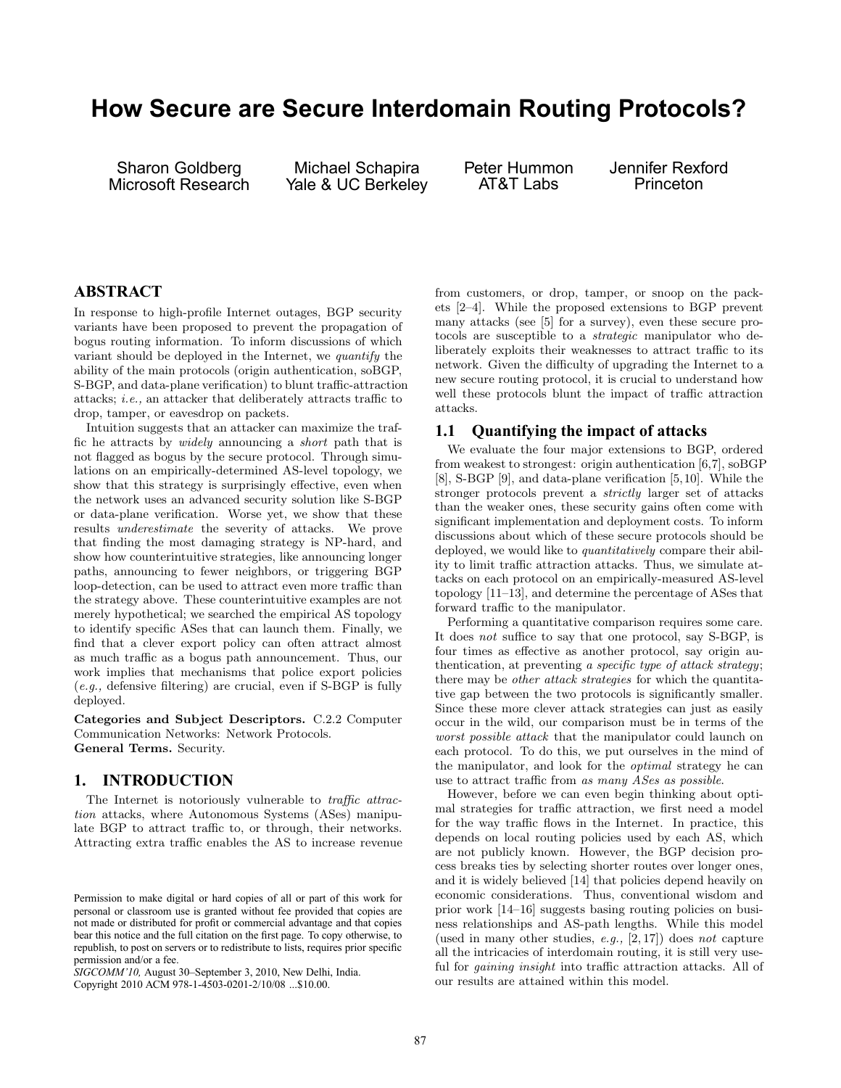# **How Secure are Secure Interdomain Routing Protocols?**

Sharon Goldberg Microsoft Research

Michael Schapira Yale & UC Berkeley Peter Hummon AT&T Labs

Jennifer Rexford Princeton

# **ABSTRACT**

In response to high-profile Internet outages, BGP security variants have been proposed to prevent the propagation of bogus routing information. To inform discussions of which variant should be deployed in the Internet, we quantify the ability of the main protocols (origin authentication, soBGP, S-BGP, and data-plane verification) to blunt traffic-attraction attacks; i.e., an attacker that deliberately attracts traffic to drop, tamper, or eavesdrop on packets.

Intuition suggests that an attacker can maximize the traffic he attracts by widely announcing a short path that is not flagged as bogus by the secure protocol. Through simulations on an empirically-determined AS-level topology, we show that this strategy is surprisingly effective, even when the network uses an advanced security solution like S-BGP or data-plane verification. Worse yet, we show that these results underestimate the severity of attacks. We prove that finding the most damaging strategy is NP-hard, and show how counterintuitive strategies, like announcing longer paths, announcing to fewer neighbors, or triggering BGP loop-detection, can be used to attract even more traffic than the strategy above. These counterintuitive examples are not merely hypothetical; we searched the empirical AS topology to identify specific ASes that can launch them. Finally, we find that a clever export policy can often attract almost as much traffic as a bogus path announcement. Thus, our work implies that mechanisms that police export policies  $(e.g., define the differential equation) are crucial, even if S-BGP is fully$ deployed.

**Categories and Subject Descriptors.** C.2.2 Computer Communication Networks: Network Protocols. **General Terms.** Security.

## **1. INTRODUCTION**

The Internet is notoriously vulnerable to traffic attraction attacks, where Autonomous Systems (ASes) manipulate BGP to attract traffic to, or through, their networks. Attracting extra traffic enables the AS to increase revenue

*SIGCOMM'10,* August 30–September 3, 2010, New Delhi, India.

Copyright 2010 ACM 978-1-4503-0201-2/10/08 ...\$10.00.

from customers, or drop, tamper, or snoop on the packets [2–4]. While the proposed extensions to BGP prevent many attacks (see [5] for a survey), even these secure protocols are susceptible to a strategic manipulator who deliberately exploits their weaknesses to attract traffic to its network. Given the difficulty of upgrading the Internet to a new secure routing protocol, it is crucial to understand how well these protocols blunt the impact of traffic attraction attacks.

#### **1.1 Quantifying the impact of attacks**

We evaluate the four major extensions to BGP, ordered from weakest to strongest: origin authentication [6,7], soBGP [8], S-BGP [9], and data-plane verification [5,10]. While the stronger protocols prevent a strictly larger set of attacks than the weaker ones, these security gains often come with significant implementation and deployment costs. To inform discussions about which of these secure protocols should be deployed, we would like to quantitatively compare their ability to limit traffic attraction attacks. Thus, we simulate attacks on each protocol on an empirically-measured AS-level topology [11–13], and determine the percentage of ASes that forward traffic to the manipulator.

Performing a quantitative comparison requires some care. It does not suffice to say that one protocol, say S-BGP, is four times as effective as another protocol, say origin authentication, at preventing a specific type of attack strategy; there may be other attack strategies for which the quantitative gap between the two protocols is significantly smaller. Since these more clever attack strategies can just as easily occur in the wild, our comparison must be in terms of the worst possible attack that the manipulator could launch on each protocol. To do this, we put ourselves in the mind of the manipulator, and look for the optimal strategy he can use to attract traffic from as many ASes as possible.

However, before we can even begin thinking about optimal strategies for traffic attraction, we first need a model for the way traffic flows in the Internet. In practice, this depends on local routing policies used by each AS, which are not publicly known. However, the BGP decision process breaks ties by selecting shorter routes over longer ones, and it is widely believed [14] that policies depend heavily on economic considerations. Thus, conventional wisdom and prior work [14–16] suggests basing routing policies on business relationships and AS-path lengths. While this model (used in many other studies, e.g.,  $[2, 17]$ ) does not capture all the intricacies of interdomain routing, it is still very useful for gaining insight into traffic attraction attacks. All of our results are attained within this model.

Permission to make digital or hard copies of all or part of this work for personal or classroom use is granted without fee provided that copies are not made or distributed for profit or commercial advantage and that copies bear this notice and the full citation on the first page. To copy otherwise, to republish, to post on servers or to redistribute to lists, requires prior specific permission and/or a fee.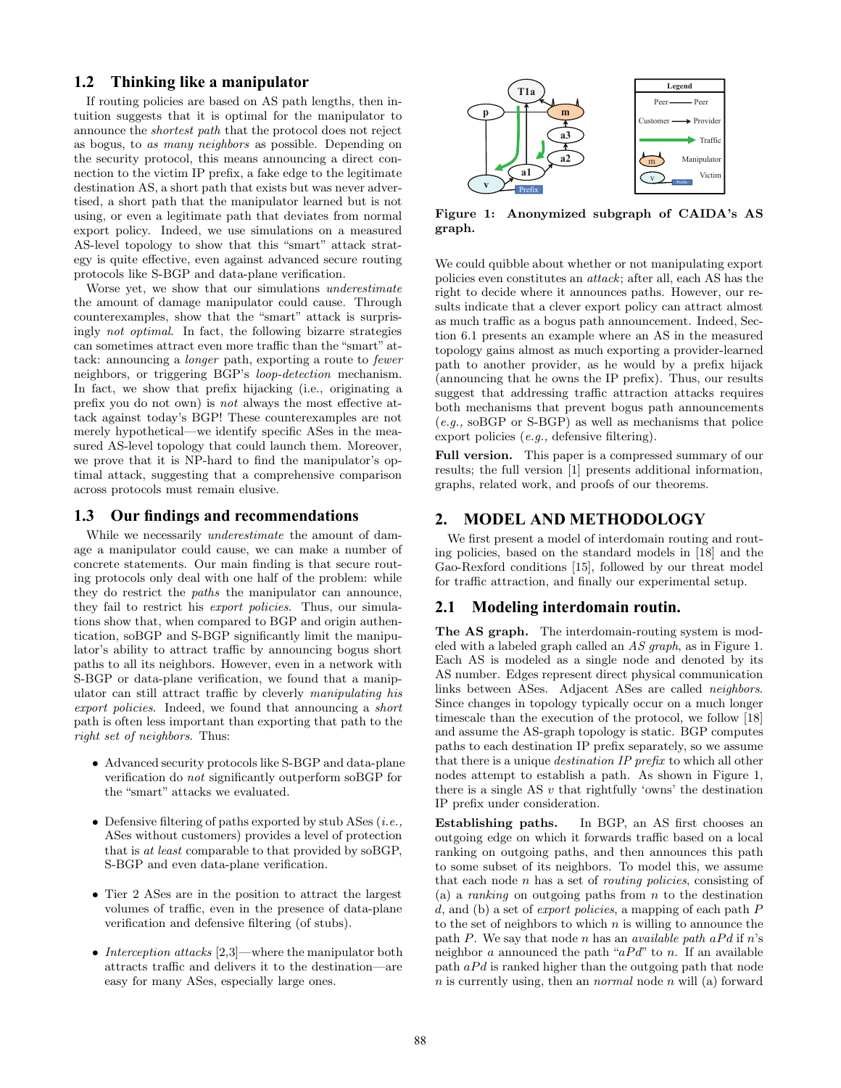# **1.2 Thinking like a manipulator**

If routing policies are based on AS path lengths, then intuition suggests that it is optimal for the manipulator to announce the shortest path that the protocol does not reject as bogus, to as many neighbors as possible. Depending on the security protocol, this means announcing a direct connection to the victim IP prefix, a fake edge to the legitimate destination AS, a short path that exists but was never advertised, a short path that the manipulator learned but is not using, or even a legitimate path that deviates from normal export policy. Indeed, we use simulations on a measured AS-level topology to show that this "smart" attack strategy is quite effective, even against advanced secure routing protocols like S-BGP and data-plane verification.

Worse yet, we show that our simulations underestimate the amount of damage manipulator could cause. Through counterexamples, show that the "smart" attack is surprisingly not optimal. In fact, the following bizarre strategies can sometimes attract even more traffic than the "smart" attack: announcing a longer path, exporting a route to fewer neighbors, or triggering BGP's loop-detection mechanism. In fact, we show that prefix hijacking (i.e., originating a prefix you do not own) is not always the most effective attack against today's BGP! These counterexamples are not merely hypothetical—we identify specific ASes in the measured AS-level topology that could launch them. Moreover, we prove that it is NP-hard to find the manipulator's optimal attack, suggesting that a comprehensive comparison across protocols must remain elusive.

## **1.3 Our findings and recommendations**

While we necessarily underestimate the amount of damage a manipulator could cause, we can make a number of concrete statements. Our main finding is that secure routing protocols only deal with one half of the problem: while they do restrict the paths the manipulator can announce, they fail to restrict his export policies. Thus, our simulations show that, when compared to BGP and origin authentication, soBGP and S-BGP significantly limit the manipulator's ability to attract traffic by announcing bogus short paths to all its neighbors. However, even in a network with S-BGP or data-plane verification, we found that a manipulator can still attract traffic by cleverly manipulating his export policies. Indeed, we found that announcing a short path is often less important than exporting that path to the right set of neighbors. Thus:

- *•* Advanced security protocols like S-BGP and data-plane verification do not significantly outperform soBGP for the "smart" attacks we evaluated.
- Defensive filtering of paths exported by stub ASes (*i.e.*, ASes without customers) provides a level of protection that is at least comparable to that provided by soBGP, S-BGP and even data-plane verification.
- *•* Tier 2 ASes are in the position to attract the largest volumes of traffic, even in the presence of data-plane verification and defensive filtering (of stubs).
- *Interception attacks* [2,3]—where the manipulator both attracts traffic and delivers it to the destination—are easy for many ASes, especially large ones.



**Figure 1: Anonymized subgraph of CAIDA's AS graph.**

We could quibble about whether or not manipulating export policies even constitutes an attack; after all, each AS has the right to decide where it announces paths. However, our results indicate that a clever export policy can attract almost as much traffic as a bogus path announcement. Indeed, Section 6.1 presents an example where an AS in the measured topology gains almost as much exporting a provider-learned path to another provider, as he would by a prefix hijack (announcing that he owns the IP prefix). Thus, our results suggest that addressing traffic attraction attacks requires both mechanisms that prevent bogus path announcements (e.g., soBGP or S-BGP) as well as mechanisms that police export policies (e.g., defensive filtering).

Full version. This paper is a compressed summary of our results; the full version [1] presents additional information, graphs, related work, and proofs of our theorems.

# **2. MODEL AND METHODOLOGY**

We first present a model of interdomain routing and routing policies, based on the standard models in [18] and the Gao-Rexford conditions [15], followed by our threat model for traffic attraction, and finally our experimental setup.

# **2.1 Modeling interdomain routin.**

**The AS graph.** The interdomain-routing system is modeled with a labeled graph called an AS graph, as in Figure 1. Each AS is modeled as a single node and denoted by its AS number. Edges represent direct physical communication links between ASes. Adjacent ASes are called neighbors. Since changes in topology typically occur on a much longer timescale than the execution of the protocol, we follow [18] and assume the AS-graph topology is static. BGP computes paths to each destination IP prefix separately, so we assume that there is a unique destination IP prefix to which all other nodes attempt to establish a path. As shown in Figure 1, there is a single AS *v* that rightfully 'owns' the destination IP prefix under consideration.

**Establishing paths.** In BGP, an AS first chooses an outgoing edge on which it forwards traffic based on a local ranking on outgoing paths, and then announces this path to some subset of its neighbors. To model this, we assume that each node *n* has a set of *routing policies*, consisting of (a) a ranking on outgoing paths from *n* to the destination *d*, and (b) a set of export policies, a mapping of each path *P* to the set of neighbors to which *n* is willing to announce the path *P*. We say that node *n* has an available path *aP d* if *n*'s neighbor *a* announced the path "*aP d*" to *n*. If an available path *aPd* is ranked higher than the outgoing path that node *n* is currently using, then an normal node *n* will (a) forward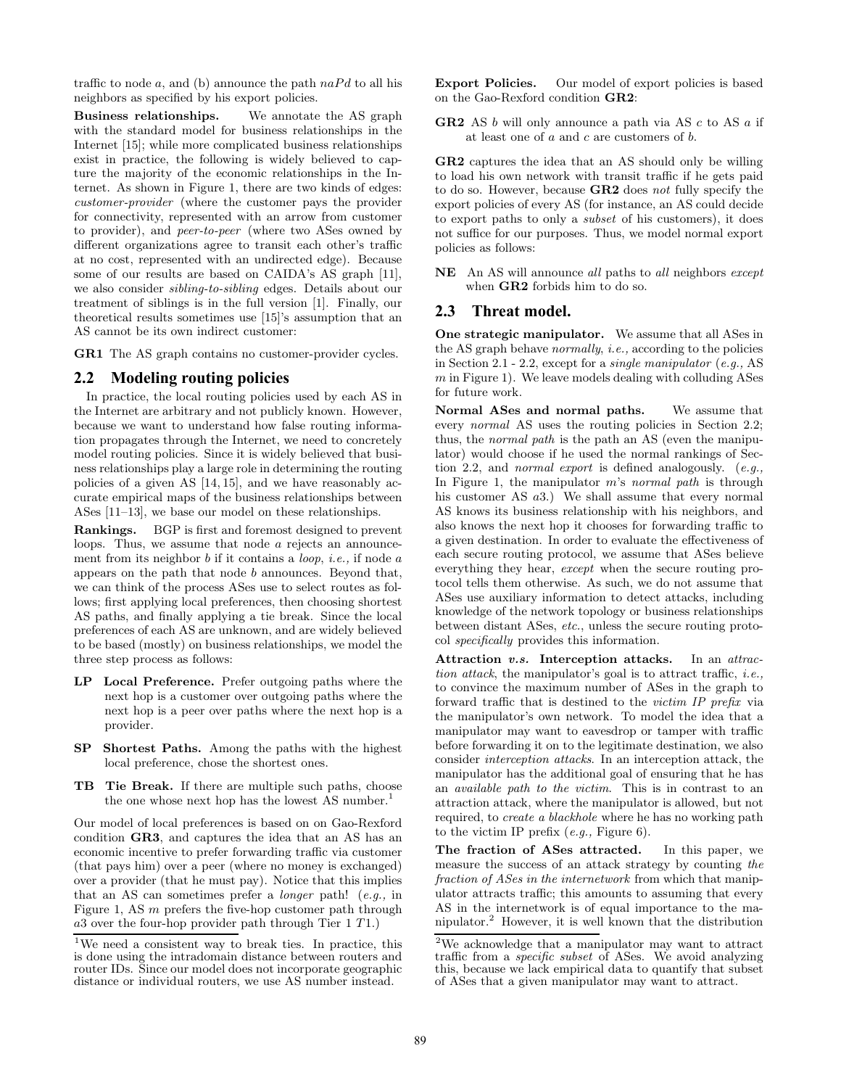traffic to node  $a$ , and (b) announce the path  $naPd$  to all his neighbors as specified by his export policies.

**Business relationships.** We annotate the AS graph with the standard model for business relationships in the Internet [15]; while more complicated business relationships exist in practice, the following is widely believed to capture the majority of the economic relationships in the Internet. As shown in Figure 1, there are two kinds of edges: customer-provider (where the customer pays the provider for connectivity, represented with an arrow from customer to provider), and peer-to-peer (where two ASes owned by different organizations agree to transit each other's traffic at no cost, represented with an undirected edge). Because some of our results are based on CAIDA's AS graph [11], we also consider sibling-to-sibling edges. Details about our treatment of siblings is in the full version [1]. Finally, our theoretical results sometimes use [15]'s assumption that an AS cannot be its own indirect customer:

**GR1** The AS graph contains no customer-provider cycles.

# **2.2 Modeling routing policies**

In practice, the local routing policies used by each AS in the Internet are arbitrary and not publicly known. However, because we want to understand how false routing information propagates through the Internet, we need to concretely model routing policies. Since it is widely believed that business relationships play a large role in determining the routing policies of a given AS [14, 15], and we have reasonably accurate empirical maps of the business relationships between ASes [11–13], we base our model on these relationships.

**Rankings.** BGP is first and foremost designed to prevent loops. Thus, we assume that node *a* rejects an announcement from its neighbor *b* if it contains a loop, i.e., if node *a* appears on the path that node *b* announces. Beyond that, we can think of the process ASes use to select routes as follows; first applying local preferences, then choosing shortest AS paths, and finally applying a tie break. Since the local preferences of each AS are unknown, and are widely believed to be based (mostly) on business relationships, we model the three step process as follows:

- **LP Local Preference.** Prefer outgoing paths where the next hop is a customer over outgoing paths where the next hop is a peer over paths where the next hop is a provider.
- **SP Shortest Paths.** Among the paths with the highest local preference, chose the shortest ones.
- **TB Tie Break.** If there are multiple such paths, choose the one whose next hop has the lowest AS number.<sup>1</sup>

Our model of local preferences is based on on Gao-Rexford condition **GR3**, and captures the idea that an AS has an economic incentive to prefer forwarding traffic via customer (that pays him) over a peer (where no money is exchanged) over a provider (that he must pay). Notice that this implies that an AS can sometimes prefer a longer path! (e.g., in Figure 1, AS *m* prefers the five-hop customer path through *a*3 over the four-hop provider path through Tier 1 *T* 1.)

**Export Policies.** Our model of export policies is based on the Gao-Rexford condition **GR2**:

**GR2** AS *b* will only announce a path via AS *c* to AS *a* if at least one of *a* and *c* are customers of *b*.

**GR2** captures the idea that an AS should only be willing to load his own network with transit traffic if he gets paid to do so. However, because **GR2** does not fully specify the export policies of every AS (for instance, an AS could decide to export paths to only a subset of his customers), it does not suffice for our purposes. Thus, we model normal export policies as follows:

**NE** An AS will announce all paths to all neighbors except when **GR2** forbids him to do so.

# **2.3 Threat model.**

**One strategic manipulator.** We assume that all ASes in the AS graph behave *normally*, *i.e.*, according to the policies in Section 2.1 - 2.2, except for a single manipulator (e.g., AS *m* in Figure 1). We leave models dealing with colluding ASes for future work.

**Normal ASes and normal paths.** We assume that every *normal* AS uses the routing policies in Section 2.2; thus, the normal path is the path an AS (even the manipulator) would choose if he used the normal rankings of Section 2.2, and normal export is defined analogously. (e.g., In Figure 1, the manipulator *m*'s normal path is through his customer AS *a*3.) We shall assume that every normal AS knows its business relationship with his neighbors, and also knows the next hop it chooses for forwarding traffic to a given destination. In order to evaluate the effectiveness of each secure routing protocol, we assume that ASes believe everything they hear, except when the secure routing protocol tells them otherwise. As such, we do not assume that ASes use auxiliary information to detect attacks, including knowledge of the network topology or business relationships between distant ASes, etc., unless the secure routing protocol specifically provides this information.

**Attraction** *v.s.* **Interception attacks.** In an attraction attack, the manipulator's goal is to attract traffic, i.e., to convince the maximum number of ASes in the graph to forward traffic that is destined to the victim IP prefix via the manipulator's own network. To model the idea that a manipulator may want to eavesdrop or tamper with traffic before forwarding it on to the legitimate destination, we also consider interception attacks. In an interception attack, the manipulator has the additional goal of ensuring that he has an available path to the victim. This is in contrast to an attraction attack, where the manipulator is allowed, but not required, to create a blackhole where he has no working path to the victim IP prefix  $(e.g., Figure 6)$ .

**The fraction of ASes attracted.** In this paper, we measure the success of an attack strategy by counting the fraction of ASes in the internetwork from which that manipulator attracts traffic; this amounts to assuming that every AS in the internetwork is of equal importance to the manipulator.<sup>2</sup> However, it is well known that the distribution

<sup>&</sup>lt;sup>1</sup>We need a consistent way to break ties. In practice, this is done using the intradomain distance between routers and router IDs. Since our model does not incorporate geographic distance or individual routers, we use AS number instead.

<sup>2</sup>We acknowledge that a manipulator may want to attract traffic from a specific subset of ASes. We avoid analyzing this, because we lack empirical data to quantify that subset of ASes that a given manipulator may want to attract.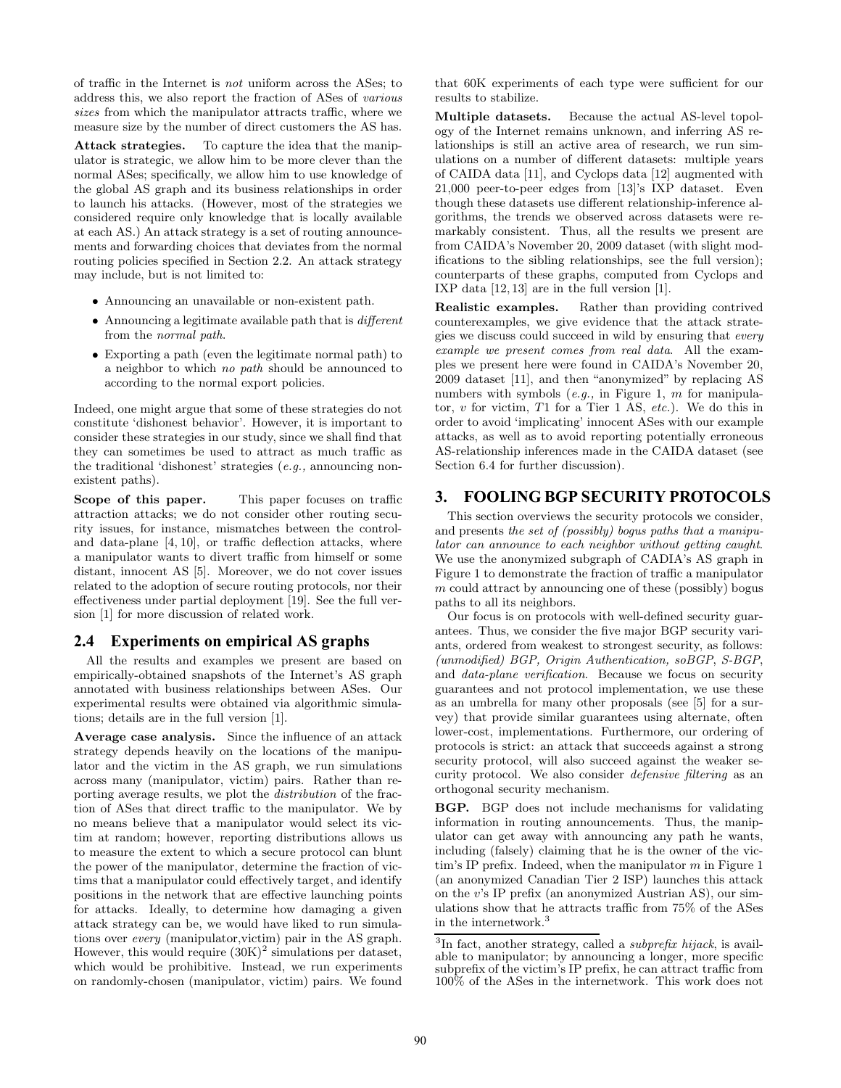of traffic in the Internet is not uniform across the ASes; to address this, we also report the fraction of ASes of various sizes from which the manipulator attracts traffic, where we measure size by the number of direct customers the AS has.

**Attack strategies.** To capture the idea that the manipulator is strategic, we allow him to be more clever than the normal ASes; specifically, we allow him to use knowledge of the global AS graph and its business relationships in order to launch his attacks. (However, most of the strategies we considered require only knowledge that is locally available at each AS.) An attack strategy is a set of routing announcements and forwarding choices that deviates from the normal routing policies specified in Section 2.2. An attack strategy may include, but is not limited to:

- *•* Announcing an unavailable or non-existent path.
- Announcing a legitimate available path that is *different* from the normal path.
- *•* Exporting a path (even the legitimate normal path) to a neighbor to which no path should be announced to according to the normal export policies.

Indeed, one might argue that some of these strategies do not constitute 'dishonest behavior'. However, it is important to consider these strategies in our study, since we shall find that they can sometimes be used to attract as much traffic as the traditional 'dishonest' strategies (e.g., announcing nonexistent paths).

**Scope of this paper.** This paper focuses on traffic attraction attacks; we do not consider other routing security issues, for instance, mismatches between the controland data-plane [4, 10], or traffic deflection attacks, where a manipulator wants to divert traffic from himself or some distant, innocent AS [5]. Moreover, we do not cover issues related to the adoption of secure routing protocols, nor their effectiveness under partial deployment [19]. See the full version [1] for more discussion of related work.

# **2.4 Experiments on empirical AS graphs**

All the results and examples we present are based on empirically-obtained snapshots of the Internet's AS graph annotated with business relationships between ASes. Our experimental results were obtained via algorithmic simulations; details are in the full version [1].

**Average case analysis.** Since the influence of an attack strategy depends heavily on the locations of the manipulator and the victim in the AS graph, we run simulations across many (manipulator, victim) pairs. Rather than reporting average results, we plot the distribution of the fraction of ASes that direct traffic to the manipulator. We by no means believe that a manipulator would select its victim at random; however, reporting distributions allows us to measure the extent to which a secure protocol can blunt the power of the manipulator, determine the fraction of victims that a manipulator could effectively target, and identify positions in the network that are effective launching points for attacks. Ideally, to determine how damaging a given attack strategy can be, we would have liked to run simulations over every (manipulator,victim) pair in the AS graph. However, this would require  $(30K)^2$  simulations per dataset, which would be prohibitive. Instead, we run experiments on randomly-chosen (manipulator, victim) pairs. We found that 60K experiments of each type were sufficient for our results to stabilize.

**Multiple datasets.** Because the actual AS-level topology of the Internet remains unknown, and inferring AS relationships is still an active area of research, we run simulations on a number of different datasets: multiple years of CAIDA data [11], and Cyclops data [12] augmented with 21,000 peer-to-peer edges from [13]'s IXP dataset. Even though these datasets use different relationship-inference algorithms, the trends we observed across datasets were remarkably consistent. Thus, all the results we present are from CAIDA's November 20, 2009 dataset (with slight modifications to the sibling relationships, see the full version); counterparts of these graphs, computed from Cyclops and IXP data [12, 13] are in the full version [1].

**Realistic examples.** Rather than providing contrived counterexamples, we give evidence that the attack strategies we discuss could succeed in wild by ensuring that every example we present comes from real data. All the examples we present here were found in CAIDA's November 20, 2009 dataset [11], and then "anonymized" by replacing AS numbers with symbols (e.g., in Figure 1, *m* for manipulator, *v* for victim, *T*1 for a Tier 1 AS, etc.). We do this in order to avoid 'implicating' innocent ASes with our example attacks, as well as to avoid reporting potentially erroneous AS-relationship inferences made in the CAIDA dataset (see Section 6.4 for further discussion).

# **3. FOOLING BGP SECURITY PROTOCOLS**

This section overviews the security protocols we consider, and presents the set of (possibly) bogus paths that a manipulator can announce to each neighbor without getting caught. We use the anonymized subgraph of CADIA's AS graph in Figure 1 to demonstrate the fraction of traffic a manipulator *m* could attract by announcing one of these (possibly) bogus paths to all its neighbors.

Our focus is on protocols with well-defined security guarantees. Thus, we consider the five major BGP security variants, ordered from weakest to strongest security, as follows: (unmodified) BGP, Origin Authentication, soBGP, S-BGP, and data-plane verification. Because we focus on security guarantees and not protocol implementation, we use these as an umbrella for many other proposals (see [5] for a survey) that provide similar guarantees using alternate, often lower-cost, implementations. Furthermore, our ordering of protocols is strict: an attack that succeeds against a strong security protocol, will also succeed against the weaker security protocol. We also consider defensive filtering as an orthogonal security mechanism.

**BGP.** BGP does not include mechanisms for validating information in routing announcements. Thus, the manipulator can get away with announcing any path he wants, including (falsely) claiming that he is the owner of the victim's IP prefix. Indeed, when the manipulator *m* in Figure 1 (an anonymized Canadian Tier 2 ISP) launches this attack on the *v*'s IP prefix (an anonymized Austrian AS), our simulations show that he attracts traffic from 75% of the ASes in the internetwork.<sup>3</sup>

 ${}^{3}$ In fact, another strategy, called a *subprefix hijack*, is available to manipulator; by announcing a longer, more specific subprefix of the victim's IP prefix, he can attract traffic from 100% of the ASes in the internetwork. This work does not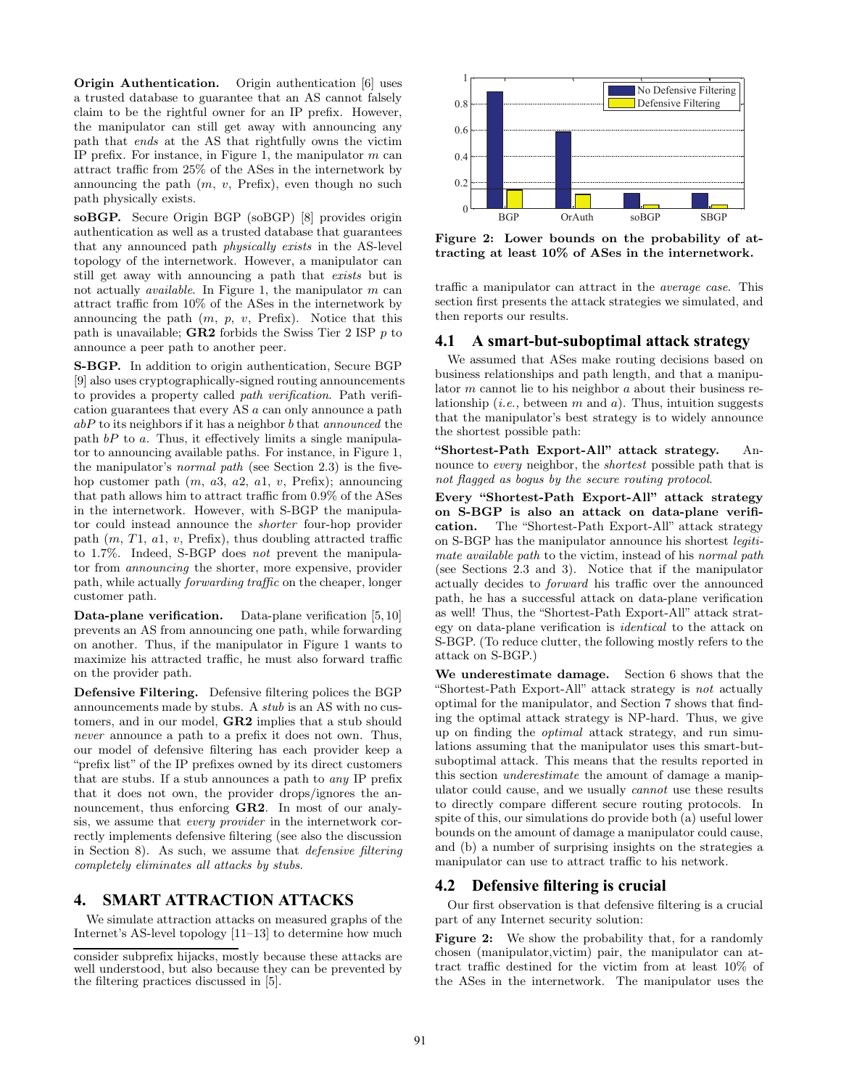**Origin Authentication.** Origin authentication [6] uses a trusted database to guarantee that an AS cannot falsely claim to be the rightful owner for an IP prefix. However, the manipulator can still get away with announcing any path that ends at the AS that rightfully owns the victim IP prefix. For instance, in Figure 1, the manipulator *m* can attract traffic from 25% of the ASes in the internetwork by announcing the path (*m*, *v*, Prefix), even though no such path physically exists.

**soBGP.** Secure Origin BGP (soBGP) [8] provides origin authentication as well as a trusted database that guarantees that any announced path physically exists in the AS-level topology of the internetwork. However, a manipulator can still get away with announcing a path that *exists* but is not actually available. In Figure 1, the manipulator *m* can attract traffic from 10% of the ASes in the internetwork by announcing the path (*m*, *p*, *v*, Prefix). Notice that this path is unavailable; **GR2** forbids the Swiss Tier 2 ISP *p* to announce a peer path to another peer.

**S-BGP.** In addition to origin authentication, Secure BGP [9] also uses cryptographically-signed routing announcements to provides a property called path verification. Path verification guarantees that every AS *a* can only announce a path *abP* to its neighbors if it has a neighbor *b* that announced the path *bP* to *a*. Thus, it effectively limits a single manipulator to announcing available paths. For instance, in Figure 1, the manipulator's normal path (see Section 2.3) is the fivehop customer path (*m*, *a*3, *a*2, *a*1, *v*, Prefix); announcing that path allows him to attract traffic from 0*.*9% of the ASes in the internetwork. However, with S-BGP the manipulator could instead announce the shorter four-hop provider path  $(m, T1, a1, v, Prefix)$ , thus doubling attracted traffic to 1*.*7%. Indeed, S-BGP does not prevent the manipulator from announcing the shorter, more expensive, provider path, while actually forwarding traffic on the cheaper, longer customer path.

**Data-plane verification.** Data-plane verification [5, 10] prevents an AS from announcing one path, while forwarding on another. Thus, if the manipulator in Figure 1 wants to maximize his attracted traffic, he must also forward traffic on the provider path.

**Defensive Filtering.** Defensive filtering polices the BGP announcements made by stubs. A stub is an AS with no customers, and in our model, **GR2** implies that a stub should never announce a path to a prefix it does not own. Thus, our model of defensive filtering has each provider keep a "prefix list" of the IP prefixes owned by its direct customers that are stubs. If a stub announces a path to any IP prefix that it does not own, the provider drops/ignores the announcement, thus enforcing **GR2**. In most of our analysis, we assume that every provider in the internetwork correctly implements defensive filtering (see also the discussion in Section 8). As such, we assume that defensive filtering completely eliminates all attacks by stubs.

## **4. SMART ATTRACTION ATTACKS**

We simulate attraction attacks on measured graphs of the Internet's AS-level topology [11–13] to determine how much



**Figure 2: Lower bounds on the probability of attracting at least 10% of ASes in the internetwork.**

traffic a manipulator can attract in the average case. This section first presents the attack strategies we simulated, and then reports our results.

# **4.1 A smart-but-suboptimal attack strategy**

We assumed that ASes make routing decisions based on business relationships and path length, and that a manipulator *m* cannot lie to his neighbor *a* about their business relationship (i.e., between *m* and *a*). Thus, intuition suggests that the manipulator's best strategy is to widely announce the shortest possible path:

**"Shortest-Path Export-All" attack strategy.** Announce to *every* neighbor, the *shortest* possible path that is not flagged as bogus by the secure routing protocol.

**Every "Shortest-Path Export-All" attack strategy on S-BGP is also an attack on data-plane verification.** The "Shortest-Path Export-All" attack strategy on S-BGP has the manipulator announce his shortest legitimate available path to the victim, instead of his normal path (see Sections 2.3 and 3). Notice that if the manipulator actually decides to forward his traffic over the announced path, he has a successful attack on data-plane verification as well! Thus, the "Shortest-Path Export-All" attack strategy on data-plane verification is identical to the attack on S-BGP. (To reduce clutter, the following mostly refers to the attack on S-BGP.)

**We underestimate damage.** Section 6 shows that the "Shortest-Path Export-All" attack strategy is not actually optimal for the manipulator, and Section 7 shows that finding the optimal attack strategy is NP-hard. Thus, we give up on finding the optimal attack strategy, and run simulations assuming that the manipulator uses this smart-butsuboptimal attack. This means that the results reported in this section underestimate the amount of damage a manipulator could cause, and we usually cannot use these results to directly compare different secure routing protocols. In spite of this, our simulations do provide both (a) useful lower bounds on the amount of damage a manipulator could cause, and (b) a number of surprising insights on the strategies a manipulator can use to attract traffic to his network.

#### **4.2 Defensive filtering is crucial**

Our first observation is that defensive filtering is a crucial part of any Internet security solution:

**Figure 2:** We show the probability that, for a randomly chosen (manipulator,victim) pair, the manipulator can attract traffic destined for the victim from at least 10% of the ASes in the internetwork. The manipulator uses the

consider subprefix hijacks, mostly because these attacks are well understood, but also because they can be prevented by the filtering practices discussed in [5].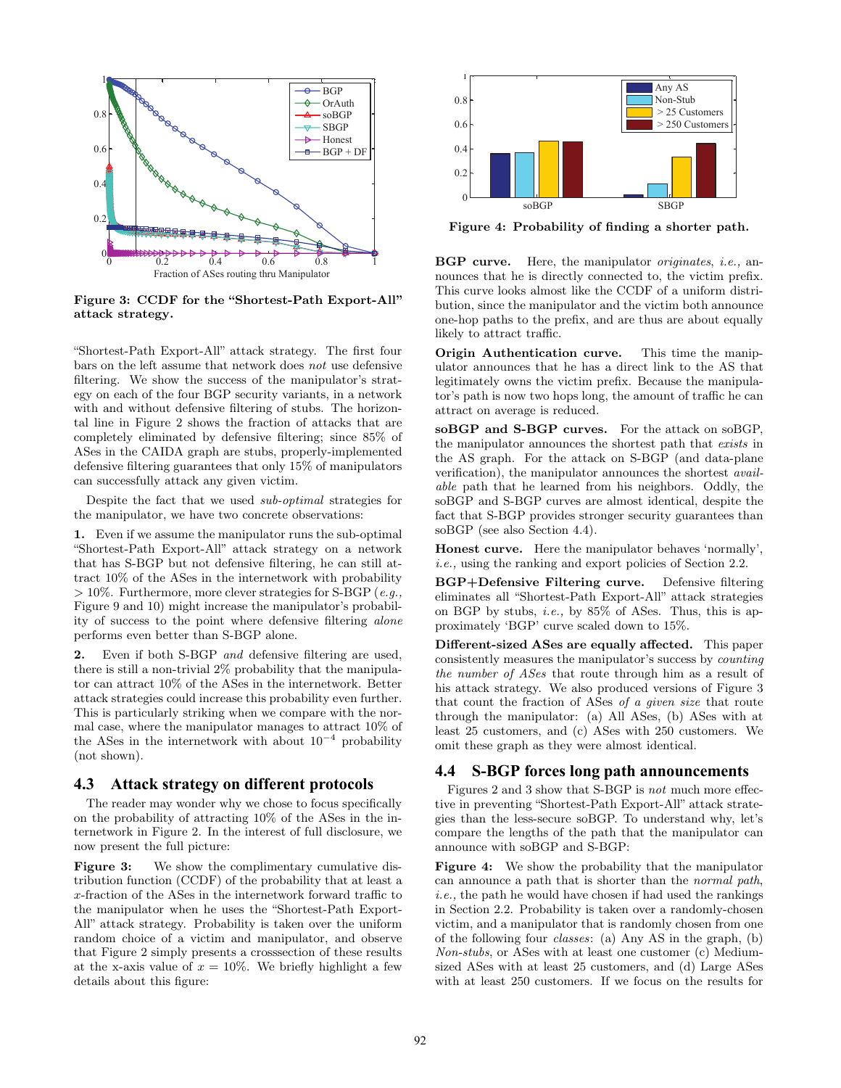

**Figure 3: CCDF for the "Shortest-Path Export-All" attack strategy.**

"Shortest-Path Export-All" attack strategy. The first four bars on the left assume that network does not use defensive filtering. We show the success of the manipulator's strategy on each of the four BGP security variants, in a network with and without defensive filtering of stubs. The horizontal line in Figure 2 shows the fraction of attacks that are completely eliminated by defensive filtering; since 85% of ASes in the CAIDA graph are stubs, properly-implemented defensive filtering guarantees that only 15% of manipulators can successfully attack any given victim.

Despite the fact that we used sub-optimal strategies for the manipulator, we have two concrete observations:

**1.** Even if we assume the manipulator runs the sub-optimal "Shortest-Path Export-All" attack strategy on a network that has S-BGP but not defensive filtering, he can still attract 10% of the ASes in the internetwork with probability *>* 10%. Furthermore, more clever strategies for S-BGP (e.g., Figure 9 and 10) might increase the manipulator's probability of success to the point where defensive filtering alone performs even better than S-BGP alone.

**2.** Even if both S-BGP and defensive filtering are used, there is still a non-trivial 2% probability that the manipulator can attract 10% of the ASes in the internetwork. Better attack strategies could increase this probability even further. This is particularly striking when we compare with the normal case, where the manipulator manages to attract 10% of the ASes in the internetwork with about  $10^{-4}$  probability (not shown).

#### **4.3 Attack strategy on different protocols**

The reader may wonder why we chose to focus specifically on the probability of attracting 10% of the ASes in the internetwork in Figure 2. In the interest of full disclosure, we now present the full picture:

**Figure 3:** We show the complimentary cumulative distribution function (CCDF) of the probability that at least a *x*-fraction of the ASes in the internetwork forward traffic to the manipulator when he uses the "Shortest-Path Export-All" attack strategy. Probability is taken over the uniform random choice of a victim and manipulator, and observe that Figure 2 simply presents a crosssection of these results at the x-axis value of  $x = 10\%$ . We briefly highlight a few details about this figure:



**Figure 4: Probability of finding a shorter path.**

**BGP curve.** Here, the manipulator *originates*, *i.e.*, announces that he is directly connected to, the victim prefix. This curve looks almost like the CCDF of a uniform distribution, since the manipulator and the victim both announce one-hop paths to the prefix, and are thus are about equally likely to attract traffic.

**Origin Authentication curve.** This time the manipulator announces that he has a direct link to the AS that legitimately owns the victim prefix. Because the manipulator's path is now two hops long, the amount of traffic he can attract on average is reduced.

**soBGP and S-BGP curves.** For the attack on soBGP, the manipulator announces the shortest path that exists in the AS graph. For the attack on S-BGP (and data-plane verification), the manipulator announces the shortest available path that he learned from his neighbors. Oddly, the soBGP and S-BGP curves are almost identical, despite the fact that S-BGP provides stronger security guarantees than soBGP (see also Section 4.4).

**Honest curve.** Here the manipulator behaves 'normally', i.e., using the ranking and export policies of Section 2.2.

**BGP+Defensive Filtering curve.** Defensive filtering eliminates all "Shortest-Path Export-All" attack strategies on BGP by stubs, *i.e.*, by  $85\%$  of ASes. Thus, this is approximately 'BGP' curve scaled down to 15%.

**Different-sized ASes are equally affected.** This paper consistently measures the manipulator's success by counting the number of ASes that route through him as a result of his attack strategy. We also produced versions of Figure 3 that count the fraction of ASes of a given size that route through the manipulator: (a) All ASes, (b) ASes with at least 25 customers, and (c) ASes with 250 customers. We omit these graph as they were almost identical.

#### **4.4 S-BGP forces long path announcements**

Figures 2 and 3 show that S-BGP is not much more effective in preventing "Shortest-Path Export-All" attack strategies than the less-secure soBGP. To understand why, let's compare the lengths of the path that the manipulator can announce with soBGP and S-BGP:

**Figure 4:** We show the probability that the manipulator can announce a path that is shorter than the normal path,  $i.e.,$  the path he would have chosen if had used the rankings in Section 2.2. Probability is taken over a randomly-chosen victim, and a manipulator that is randomly chosen from one of the following four classes: (a) Any AS in the graph, (b) Non-stubs, or ASes with at least one customer (c) Mediumsized ASes with at least 25 customers, and (d) Large ASes with at least 250 customers. If we focus on the results for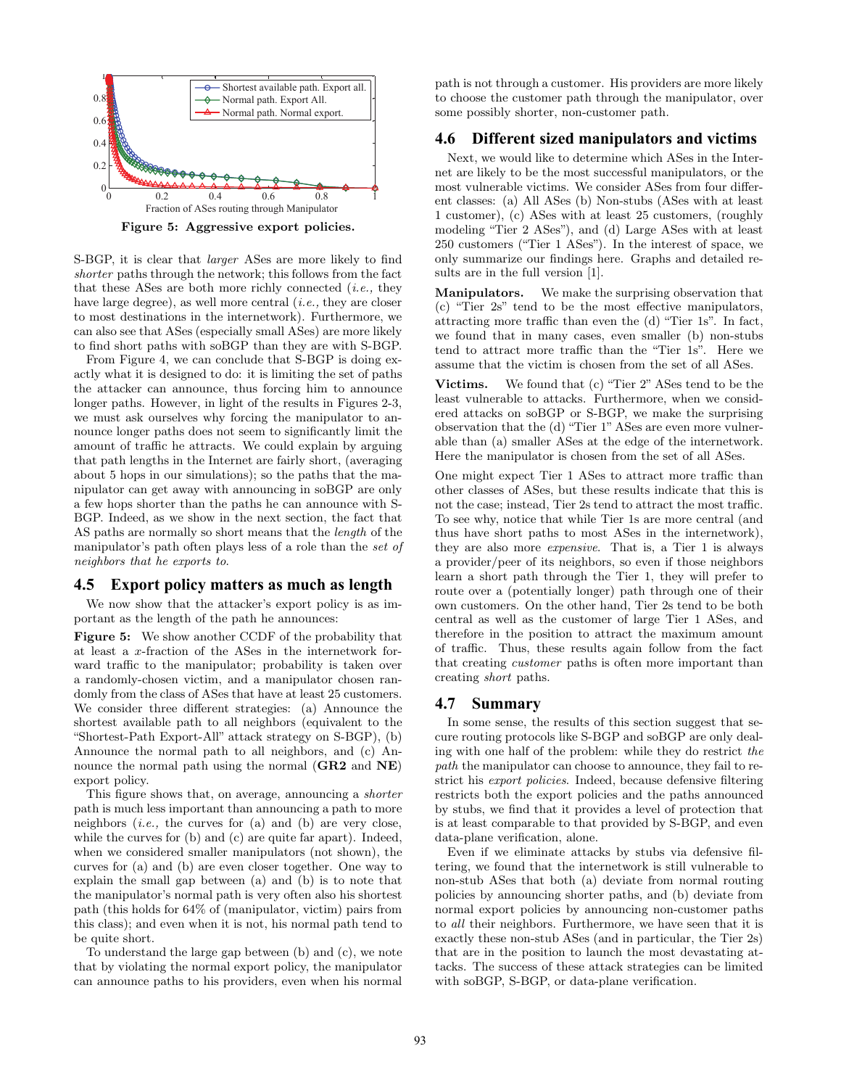

**Figure 5: Aggressive export policies.**

S-BGP, it is clear that larger ASes are more likely to find shorter paths through the network; this follows from the fact that these ASes are both more richly connected  $(i.e.,$  they have large degree), as well more central (*i.e.*, they are closer to most destinations in the internetwork). Furthermore, we can also see that ASes (especially small ASes) are more likely to find short paths with soBGP than they are with S-BGP.

From Figure 4, we can conclude that S-BGP is doing exactly what it is designed to do: it is limiting the set of paths the attacker can announce, thus forcing him to announce longer paths. However, in light of the results in Figures 2-3, we must ask ourselves why forcing the manipulator to announce longer paths does not seem to significantly limit the amount of traffic he attracts. We could explain by arguing that path lengths in the Internet are fairly short, (averaging about 5 hops in our simulations); so the paths that the manipulator can get away with announcing in soBGP are only a few hops shorter than the paths he can announce with S-BGP. Indeed, as we show in the next section, the fact that AS paths are normally so short means that the length of the manipulator's path often plays less of a role than the set of neighbors that he exports to.

#### **4.5 Export policy matters as much as length**

We now show that the attacker's export policy is as important as the length of the path he announces:

**Figure 5:** We show another CCDF of the probability that at least a *x*-fraction of the ASes in the internetwork forward traffic to the manipulator; probability is taken over a randomly-chosen victim, and a manipulator chosen randomly from the class of ASes that have at least 25 customers. We consider three different strategies: (a) Announce the shortest available path to all neighbors (equivalent to the "Shortest-Path Export-All" attack strategy on S-BGP), (b) Announce the normal path to all neighbors, and (c) Announce the normal path using the normal (**GR2** and **NE**) export policy.

This figure shows that, on average, announcing a shorter path is much less important than announcing a path to more neighbors  $(i.e., the curves for (a) and (b) are very close,$ while the curves for (b) and (c) are quite far apart). Indeed, when we considered smaller manipulators (not shown), the curves for (a) and (b) are even closer together. One way to explain the small gap between (a) and (b) is to note that the manipulator's normal path is very often also his shortest path (this holds for 64% of (manipulator, victim) pairs from this class); and even when it is not, his normal path tend to be quite short.

To understand the large gap between (b) and (c), we note that by violating the normal export policy, the manipulator can announce paths to his providers, even when his normal

path is not through a customer. His providers are more likely to choose the customer path through the manipulator, over some possibly shorter, non-customer path.

## **4.6 Different sized manipulators and victims**

Next, we would like to determine which ASes in the Internet are likely to be the most successful manipulators, or the most vulnerable victims. We consider ASes from four different classes: (a) All ASes (b) Non-stubs (ASes with at least 1 customer), (c) ASes with at least 25 customers, (roughly modeling "Tier 2 ASes"), and (d) Large ASes with at least 250 customers ("Tier 1 ASes"). In the interest of space, we only summarize our findings here. Graphs and detailed results are in the full version [1].

**Manipulators.** We make the surprising observation that (c) "Tier 2s" tend to be the most effective manipulators, attracting more traffic than even the (d) "Tier 1s". In fact, we found that in many cases, even smaller (b) non-stubs tend to attract more traffic than the "Tier 1s". Here we assume that the victim is chosen from the set of all ASes.

**Victims.** We found that (c) "Tier 2" ASes tend to be the least vulnerable to attacks. Furthermore, when we considered attacks on soBGP or S-BGP, we make the surprising observation that the (d) "Tier 1" ASes are even more vulnerable than (a) smaller ASes at the edge of the internetwork. Here the manipulator is chosen from the set of all ASes.

One might expect Tier 1 ASes to attract more traffic than other classes of ASes, but these results indicate that this is not the case; instead, Tier 2s tend to attract the most traffic. To see why, notice that while Tier 1s are more central (and thus have short paths to most ASes in the internetwork), they are also more expensive. That is, a Tier 1 is always a provider/peer of its neighbors, so even if those neighbors learn a short path through the Tier 1, they will prefer to route over a (potentially longer) path through one of their own customers. On the other hand, Tier 2s tend to be both central as well as the customer of large Tier 1 ASes, and therefore in the position to attract the maximum amount of traffic. Thus, these results again follow from the fact that creating customer paths is often more important than creating short paths.

#### **4.7 Summary**

In some sense, the results of this section suggest that secure routing protocols like S-BGP and soBGP are only dealing with one half of the problem: while they do restrict the path the manipulator can choose to announce, they fail to restrict his export policies. Indeed, because defensive filtering restricts both the export policies and the paths announced by stubs, we find that it provides a level of protection that is at least comparable to that provided by S-BGP, and even data-plane verification, alone.

Even if we eliminate attacks by stubs via defensive filtering, we found that the internetwork is still vulnerable to non-stub ASes that both (a) deviate from normal routing policies by announcing shorter paths, and (b) deviate from normal export policies by announcing non-customer paths to all their neighbors. Furthermore, we have seen that it is exactly these non-stub ASes (and in particular, the Tier 2s) that are in the position to launch the most devastating attacks. The success of these attack strategies can be limited with soBGP, S-BGP, or data-plane verification.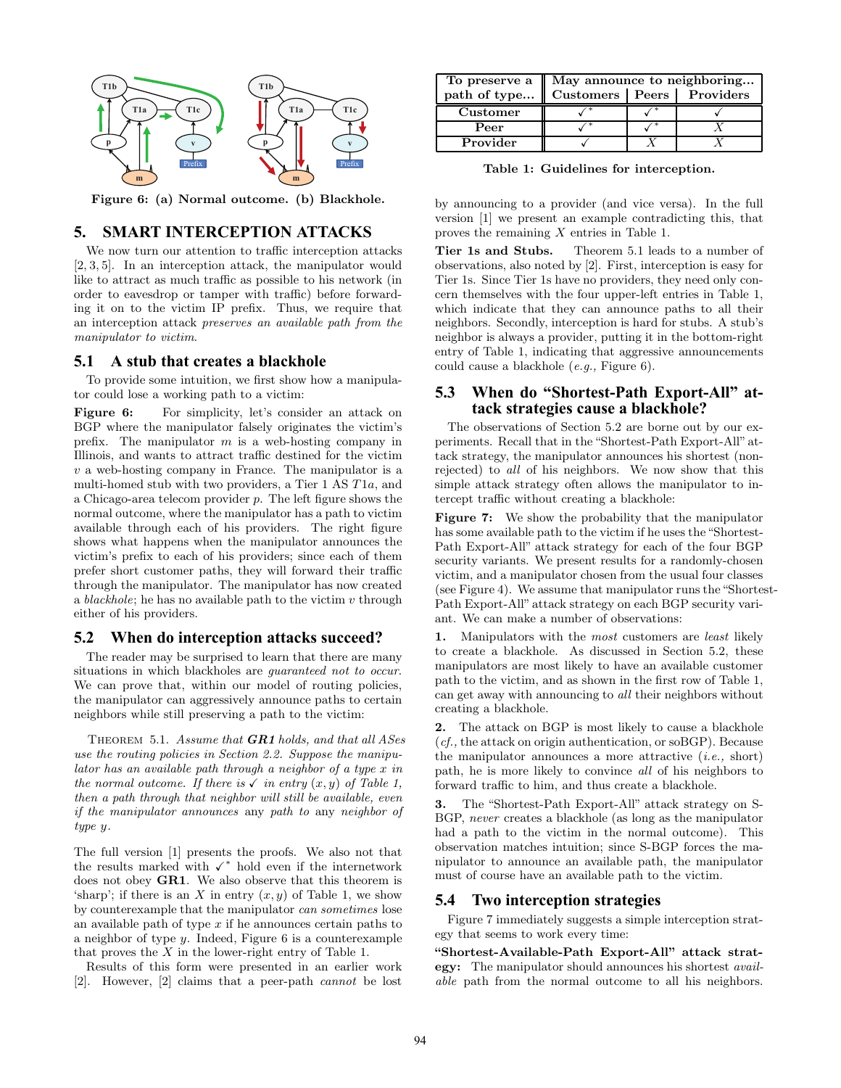

**Figure 6: (a) Normal outcome. (b) Blackhole.**

# **5. SMART INTERCEPTION ATTACKS**

We now turn our attention to traffic interception attacks [2, 3, 5]. In an interception attack, the manipulator would like to attract as much traffic as possible to his network (in order to eavesdrop or tamper with traffic) before forwarding it on to the victim IP prefix. Thus, we require that an interception attack preserves an available path from the manipulator to victim.

# **5.1 A stub that creates a blackhole**

To provide some intuition, we first show how a manipulator could lose a working path to a victim:

**Figure 6:** For simplicity, let's consider an attack on BGP where the manipulator falsely originates the victim's prefix. The manipulator *m* is a web-hosting company in Illinois, and wants to attract traffic destined for the victim *v* a web-hosting company in France. The manipulator is a multi-homed stub with two providers, a Tier 1 AS *T*1*a*, and a Chicago-area telecom provider *p*. The left figure shows the normal outcome, where the manipulator has a path to victim available through each of his providers. The right figure shows what happens when the manipulator announces the victim's prefix to each of his providers; since each of them prefer short customer paths, they will forward their traffic through the manipulator. The manipulator has now created a blackhole; he has no available path to the victim *v* through either of his providers.

# **5.2 When do interception attacks succeed?**

The reader may be surprised to learn that there are many situations in which blackholes are *quaranteed not to occur*. We can prove that, within our model of routing policies, the manipulator can aggressively announce paths to certain neighbors while still preserving a path to the victim:

Theorem 5.1. Assume that *GR1* holds, and that all ASes use the routing policies in Section 2.2. Suppose the manipulator has an available path through a neighbor of a type *x* in the normal outcome. If there is  $\checkmark$  in entry  $(x, y)$  of Table 1, then a path through that neighbor will still be available, even if the manipulator announces any path to any neighbor of type *y*.

The full version [1] presents the proofs. We also not that the results marked with  $\checkmark^*$  hold even if the internetwork does not obey **GR1**. We also observe that this theorem is 'sharp'; if there is an *X* in entry  $(x, y)$  of Table 1, we show by counterexample that the manipulator can sometimes lose an available path of type *x* if he announces certain paths to a neighbor of type *y*. Indeed, Figure 6 is a counterexample that proves the *X* in the lower-right entry of Table 1.

Results of this form were presented in an earlier work [2]. However, [2] claims that a peer-path cannot be lost

|              | To preserve a    May announce to neighboring |  |  |
|--------------|----------------------------------------------|--|--|
| path of type | Customers   Peers   Providers                |  |  |
| Customer     |                                              |  |  |
| Peer         |                                              |  |  |
| Provider     |                                              |  |  |

**Table 1: Guidelines for interception.**

by announcing to a provider (and vice versa). In the full version [1] we present an example contradicting this, that proves the remaining *X* entries in Table 1.

**Tier 1s and Stubs.** Theorem 5.1 leads to a number of observations, also noted by [2]. First, interception is easy for Tier 1s. Since Tier 1s have no providers, they need only concern themselves with the four upper-left entries in Table 1, which indicate that they can announce paths to all their neighbors. Secondly, interception is hard for stubs. A stub's neighbor is always a provider, putting it in the bottom-right entry of Table 1, indicating that aggressive announcements could cause a blackhole (e.g., Figure 6).

# **5.3 When do "Shortest-Path Export-All" attack strategies cause a blackhole?**

The observations of Section 5.2 are borne out by our experiments. Recall that in the "Shortest-Path Export-All" attack strategy, the manipulator announces his shortest (nonrejected) to all of his neighbors. We now show that this simple attack strategy often allows the manipulator to intercept traffic without creating a blackhole:

**Figure 7:** We show the probability that the manipulator has some available path to the victim if he uses the "Shortest-Path Export-All" attack strategy for each of the four BGP security variants. We present results for a randomly-chosen victim, and a manipulator chosen from the usual four classes (see Figure 4). We assume that manipulator runs the "Shortest-Path Export-All" attack strategy on each BGP security variant. We can make a number of observations:

**1.** Manipulators with the most customers are least likely to create a blackhole. As discussed in Section 5.2, these manipulators are most likely to have an available customer path to the victim, and as shown in the first row of Table 1, can get away with announcing to all their neighbors without creating a blackhole.

**2.** The attack on BGP is most likely to cause a blackhole  $(cf.)$ , the attack on origin authentication, or soBGP). Because the manipulator announces a more attractive  $(i.e., short)$ path, he is more likely to convince all of his neighbors to forward traffic to him, and thus create a blackhole.

**3.** The "Shortest-Path Export-All" attack strategy on S-BGP, never creates a blackhole (as long as the manipulator had a path to the victim in the normal outcome). This observation matches intuition; since S-BGP forces the manipulator to announce an available path, the manipulator must of course have an available path to the victim.

# **5.4 Two interception strategies**

Figure 7 immediately suggests a simple interception strategy that seems to work every time:

**"Shortest-Available-Path Export-All" attack strategy:** The manipulator should announces his shortest available path from the normal outcome to all his neighbors.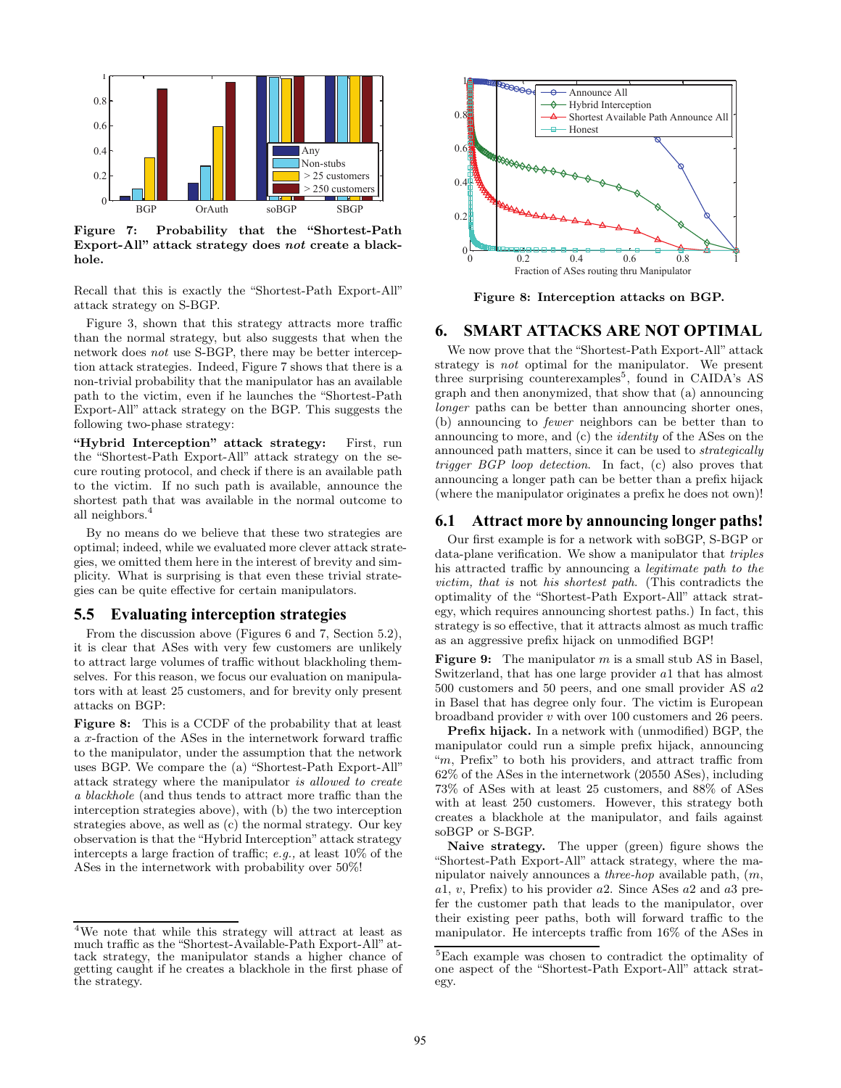

**Figure 7: Probability that the "Shortest-Path Export-All" attack strategy does** *not* **create a blackhole.**

Recall that this is exactly the "Shortest-Path Export-All" attack strategy on S-BGP.

Figure 3, shown that this strategy attracts more traffic than the normal strategy, but also suggests that when the network does not use S-BGP, there may be better interception attack strategies. Indeed, Figure 7 shows that there is a non-trivial probability that the manipulator has an available path to the victim, even if he launches the "Shortest-Path Export-All" attack strategy on the BGP. This suggests the following two-phase strategy:

**"Hybrid Interception" attack strategy:** First, run the "Shortest-Path Export-All" attack strategy on the secure routing protocol, and check if there is an available path to the victim. If no such path is available, announce the shortest path that was available in the normal outcome to all neighbors.<sup>4</sup>

By no means do we believe that these two strategies are optimal; indeed, while we evaluated more clever attack strategies, we omitted them here in the interest of brevity and simplicity. What is surprising is that even these trivial strategies can be quite effective for certain manipulators.

#### **5.5 Evaluating interception strategies**

From the discussion above (Figures 6 and 7, Section 5.2), it is clear that ASes with very few customers are unlikely to attract large volumes of traffic without blackholing themselves. For this reason, we focus our evaluation on manipulators with at least 25 customers, and for brevity only present attacks on BGP:

**Figure 8:** This is a CCDF of the probability that at least a *x*-fraction of the ASes in the internetwork forward traffic to the manipulator, under the assumption that the network uses BGP. We compare the (a) "Shortest-Path Export-All" attack strategy where the manipulator is allowed to create a blackhole (and thus tends to attract more traffic than the interception strategies above), with (b) the two interception strategies above, as well as (c) the normal strategy. Our key observation is that the "Hybrid Interception" attack strategy intercepts a large fraction of traffic; e.g., at least 10% of the ASes in the internetwork with probability over 50%!



**Figure 8: Interception attacks on BGP.**

# **6. SMART ATTACKS ARE NOT OPTIMAL**

We now prove that the "Shortest-Path Export-All" attack strategy is not optimal for the manipulator. We present three surprising counterexamples<sup>5</sup>, found in CAIDA's AS graph and then anonymized, that show that (a) announcing longer paths can be better than announcing shorter ones, (b) announcing to fewer neighbors can be better than to announcing to more, and (c) the identity of the ASes on the announced path matters, since it can be used to strategically trigger BGP loop detection. In fact, (c) also proves that announcing a longer path can be better than a prefix hijack (where the manipulator originates a prefix he does not own)!

## **6.1 Attract more by announcing longer paths!**

Our first example is for a network with soBGP, S-BGP or data-plane verification. We show a manipulator that *triples* his attracted traffic by announcing a legitimate path to the victim, that is not his shortest path. (This contradicts the optimality of the "Shortest-Path Export-All" attack strategy, which requires announcing shortest paths.) In fact, this strategy is so effective, that it attracts almost as much traffic as an aggressive prefix hijack on unmodified BGP!

**Figure 9:** The manipulator *m* is a small stub AS in Basel, Switzerland, that has one large provider *a*1 that has almost 500 customers and 50 peers, and one small provider AS *a*2 in Basel that has degree only four. The victim is European broadband provider *v* with over 100 customers and 26 peers.

**Prefix hijack.** In a network with (unmodified) BGP, the manipulator could run a simple prefix hijack, announcing "*m*, Prefix" to both his providers, and attract traffic from 62% of the ASes in the internetwork (20550 ASes), including 73% of ASes with at least 25 customers, and 88% of ASes with at least 250 customers. However, this strategy both creates a blackhole at the manipulator, and fails against soBGP or S-BGP.

**Naive strategy.** The upper (green) figure shows the "Shortest-Path Export-All" attack strategy, where the manipulator naively announces a three-hop available path, (*m*, *a*1, *v*, Prefix) to his provider *a*2. Since ASes *a*2 and *a*3 prefer the customer path that leads to the manipulator, over their existing peer paths, both will forward traffic to the manipulator. He intercepts traffic from 16% of the ASes in

<sup>4</sup>We note that while this strategy will attract at least as much traffic as the "Shortest-Available-Path Export-All" attack strategy, the manipulator stands a higher chance of getting caught if he creates a blackhole in the first phase of the strategy.

<sup>5</sup>Each example was chosen to contradict the optimality of one aspect of the "Shortest-Path Export-All" attack strategy.